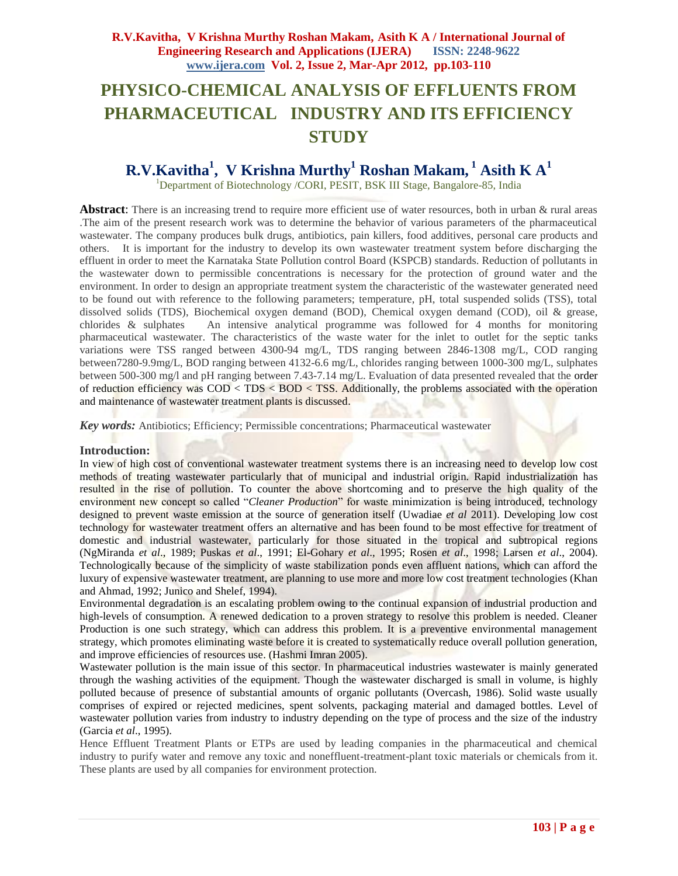# **PHYSICO-CHEMICAL ANALYSIS OF EFFLUENTS FROM PHARMACEUTICAL INDUSTRY AND ITS EFFICIENCY STUDY**

# **R.V.Kavitha<sup>1</sup> , V Krishna Murthy<sup>1</sup> Roshan Makam, <sup>1</sup> Asith K A<sup>1</sup>**

<sup>1</sup>Department of Biotechnology /CORI, PESIT, BSK III Stage, Bangalore-85, India

**Abstract**: There is an increasing trend to require more efficient use of water resources, both in urban & rural areas .The aim of the present research work was to determine the behavior of various parameters of the pharmaceutical wastewater. The company produces bulk drugs, antibiotics, pain killers, food additives, personal care products and others. It is important for the industry to develop its own wastewater treatment system before discharging the effluent in order to meet the Karnataka State Pollution control Board (KSPCB) standards. Reduction of pollutants in the wastewater down to permissible concentrations is necessary for the protection of ground water and the environment. In order to design an appropriate treatment system the characteristic of the wastewater generated need to be found out with reference to the following parameters; temperature, pH, total suspended solids (TSS), total dissolved solids (TDS), Biochemical oxygen demand (BOD), Chemical oxygen demand (COD), oil & grease, chlorides & sulphates An intensive analytical programme was followed for 4 months for monitoring pharmaceutical wastewater. The characteristics of the waste water for the inlet to outlet for the septic tanks variations were TSS ranged between 4300-94 mg/L, TDS ranging between 2846-1308 mg/L, COD ranging between7280-9.9mg/L, BOD ranging between 4132-6.6 mg/L, chlorides ranging between 1000-300 mg/L, sulphates between 500-300 mg/l and pH ranging between 7.43-7.14 mg/L. Evaluation of data presented revealed that the order of reduction efficiency was COD < TDS < BOD < TSS. Additionally, the problems associated with the operation and maintenance of wastewater treatment plants is discussed.

*Key words:* Antibiotics; Efficiency; Permissible concentrations; Pharmaceutical wastewater

#### **Introduction:**

In view of high cost of conventional wastewater treatment systems there is an increasing need to develop low cost methods of treating wastewater particularly that of municipal and industrial origin. Rapid industrialization has resulted in the rise of pollution. To counter the above shortcoming and to preserve the high quality of the environment new concept so called "*Cleaner Production*" for waste minimization is being introduced, technology designed to prevent waste emission at the source of generation itself (Uwadiae *et al* 2011). Developing low cost technology for wastewater treatment offers an alternative and has been found to be most effective for treatment of domestic and industrial wastewater, particularly for those situated in the tropical and subtropical regions (NgMiranda *et al*., 1989; Puskas *et al*., 1991; El-Gohary *et al*., 1995; Rosen *et al*., 1998; Larsen *et al*., 2004). Technologically because of the simplicity of waste stabilization ponds even affluent nations, which can afford the luxury of expensive wastewater treatment, are planning to use more and more low cost treatment technologies (Khan and Ahmad, 1992; Junico and Shelef, 1994).

Environmental degradation is an escalating problem owing to the continual expansion of industrial production and high-levels of consumption. A renewed dedication to a proven strategy to resolve this problem is needed. Cleaner Production is one such strategy, which can address this problem. It is a preventive environmental management strategy, which promotes eliminating waste before it is created to systematically reduce overall pollution generation, and improve efficiencies of resources use. (Hashmi Imran 2005).

Wastewater pollution is the main issue of this sector. In pharmaceutical industries wastewater is mainly generated through the washing activities of the equipment. Though the wastewater discharged is small in volume, is highly polluted because of presence of substantial amounts of organic pollutants (Overcash, 1986). Solid waste usually comprises of expired or rejected medicines, spent solvents, packaging material and damaged bottles. Level of wastewater pollution varies from industry to industry depending on the type of process and the size of the industry (Garcia *et al*., 1995).

Hence Effluent Treatment Plants or ETPs are used by leading companies in the pharmaceutical and chemical industry to purify water and remove any toxic and noneffluent-treatment-plant toxic materials or chemicals from it. These plants are used by all companies for environment protection.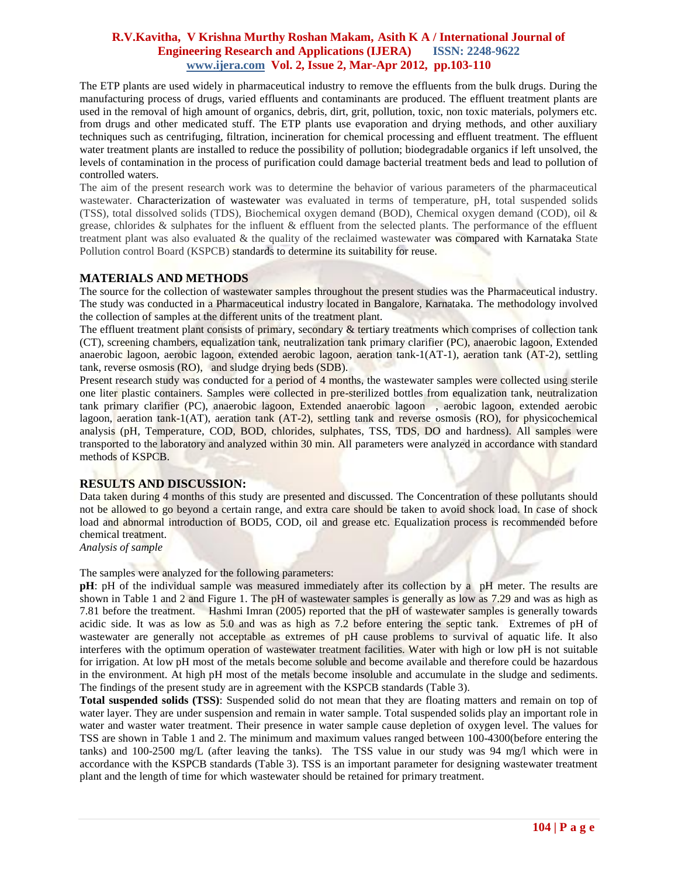The ETP plants are used widely in pharmaceutical industry to remove the effluents from the bulk drugs. During the manufacturing process of drugs, varied effluents and contaminants are produced. The effluent treatment plants are used in the removal of high amount of organics, debris, dirt, grit, pollution, toxic, non toxic materials, polymers etc. from drugs and other medicated stuff. The ETP plants use evaporation and drying methods, and other auxiliary techniques such as centrifuging, filtration, incineration for chemical processing and effluent treatment. The effluent water treatment plants are installed to reduce the possibility of pollution; biodegradable organics if left unsolved, the levels of contamination in the process of purification could damage bacterial treatment beds and lead to pollution of controlled waters.

The aim of the present research work was to determine the behavior of various parameters of the pharmaceutical wastewater. Characterization of wastewater was evaluated in terms of temperature, pH, total suspended solids (TSS), total dissolved solids (TDS), Biochemical oxygen demand (BOD), Chemical oxygen demand (COD), oil & grease, chlorides  $\&$  sulphates for the influent  $\&$  effluent from the selected plants. The performance of the effluent treatment plant was also evaluated & the quality of the reclaimed wastewater was compared with Karnataka State Pollution control Board (KSPCB) standards to determine its suitability for reuse.

#### **MATERIALS AND METHODS**

The source for the collection of wastewater samples throughout the present studies was the Pharmaceutical industry. The study was conducted in a Pharmaceutical industry located in Bangalore, Karnataka. The methodology involved the collection of samples at the different units of the treatment plant.

The effluent treatment plant consists of primary, secondary & tertiary treatments which comprises of collection tank (CT), screening chambers, equalization tank, neutralization tank primary clarifier (PC), anaerobic lagoon, Extended anaerobic lagoon, aerobic lagoon, extended aerobic lagoon, aeration tank-1(AT-1), aeration tank (AT-2), settling tank, reverse osmosis (RO), and sludge drying beds (SDB).

Present research study was conducted for a period of 4 months, the wastewater samples were collected using sterile one liter plastic containers. Samples were collected in pre-sterilized bottles from equalization tank, neutralization tank primary clarifier (PC), anaerobic lagoon, Extended anaerobic lagoon , aerobic lagoon, extended aerobic lagoon, aeration tank-1(AT), aeration tank (AT-2), settling tank and reverse osmosis (RO), for physicochemical analysis (pH, Temperature, COD, BOD, chlorides, sulphates, TSS, TDS, DO and hardness). All samples were transported to the laboratory and analyzed within 30 min. All parameters were analyzed in accordance with standard methods of KSPCB.

#### **RESULTS AND DISCUSSION:**

Data taken during 4 months of this study are presented and discussed. The Concentration of these pollutants should not be allowed to go beyond a certain range, and extra care should be taken to avoid shock load. In case of shock load and abnormal introduction of BOD5, COD, oil and grease etc. Equalization process is recommended before chemical treatment.

*Analysis of sample*

The samples were analyzed for the following parameters:

**pH**: pH of the individual sample was measured immediately after its collection by a pH meter. The results are shown in Table 1 and 2 and Figure 1. The pH of wastewater samples is generally as low as 7.29 and was as high as 7.81 before the treatment. Hashmi Imran (2005) reported that the pH of wastewater samples is generally towards acidic side. It was as low as 5.0 and was as high as 7.2 before entering the septic tank. Extremes of pH of wastewater are generally not acceptable as extremes of pH cause problems to survival of aquatic life. It also interferes with the optimum operation of wastewater treatment facilities. Water with high or low pH is not suitable for irrigation. At low pH most of the metals become soluble and become available and therefore could be hazardous in the environment. At high pH most of the metals become insoluble and accumulate in the sludge and sediments. The findings of the present study are in agreement with the KSPCB standards (Table 3).

**Total suspended solids (TSS)**: Suspended solid do not mean that they are floating matters and remain on top of water layer. They are under suspension and remain in water sample. Total suspended solids play an important role in water and waster water treatment. Their presence in water sample cause depletion of oxygen level. The values for TSS are shown in Table 1 and 2. The minimum and maximum values ranged between 100-4300(before entering the tanks) and 100-2500 mg/L (after leaving the tanks). The TSS value in our study was 94 mg/l which were in accordance with the KSPCB standards (Table 3). TSS is an important parameter for designing wastewater treatment plant and the length of time for which wastewater should be retained for primary treatment.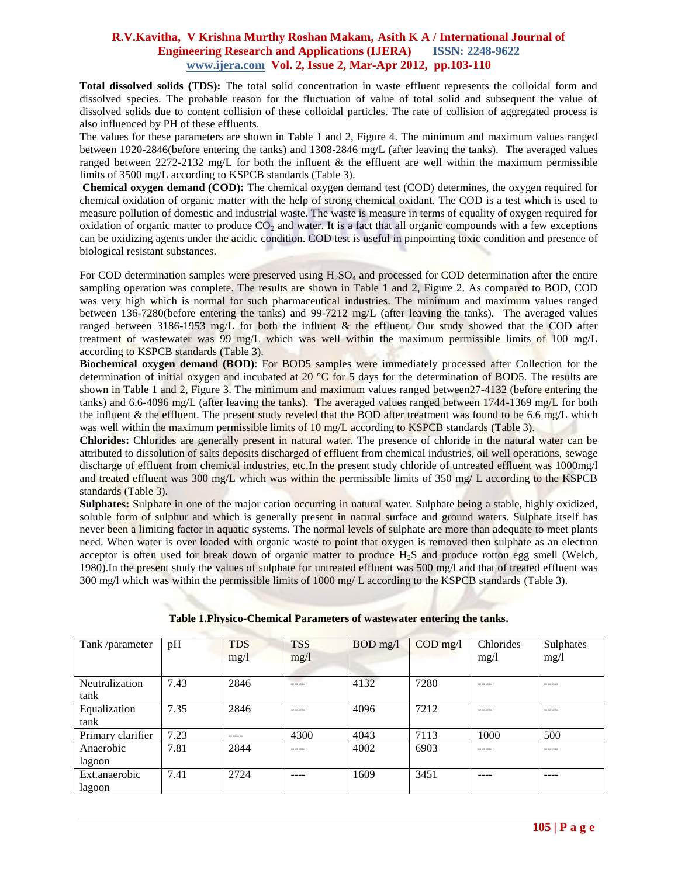**Total dissolved solids (TDS):** The total solid concentration in waste effluent represents the colloidal form and dissolved species. The probable reason for the fluctuation of value of total solid and subsequent the value of dissolved solids due to content collision of these colloidal particles. The rate of collision of aggregated process is also influenced by PH of these effluents.

The values for these parameters are shown in Table 1 and 2, Figure 4. The minimum and maximum values ranged between 1920-2846(before entering the tanks) and 1308-2846 mg/L (after leaving the tanks). The averaged values ranged between  $2272-2132$  mg/L for both the influent & the effluent are well within the maximum permissible limits of 3500 mg/L according to KSPCB standards (Table 3).

**Chemical oxygen demand (COD):** The chemical oxygen demand test (COD) determines, the oxygen required for chemical oxidation of organic matter with the help of strong chemical oxidant. The COD is a test which is used to measure pollution of domestic and industrial waste. The waste is measure in terms of equality of oxygen required for oxidation of organic matter to produce  $CO<sub>2</sub>$  and water. It is a fact that all organic compounds with a few exceptions can be oxidizing agents under the acidic condition. COD test is useful in pinpointing toxic condition and presence of biological resistant substances.

For COD determination samples were preserved using  $H_2SO_4$  and processed for COD determination after the entire sampling operation was complete. The results are shown in Table 1 and 2, Figure 2. As compared to BOD, COD was very high which is normal for such pharmaceutical industries. The minimum and maximum values ranged between 136-7280(before entering the tanks) and 99-7212 mg/L (after leaving the tanks). The averaged values ranged between 3186-1953 mg/L for both the influent & the effluent. Our study showed that the COD after treatment of wastewater was 99 mg/L which was well within the maximum permissible limits of 100 mg/L according to KSPCB standards (Table 3).

**Biochemical oxygen demand (BOD)**: For BOD5 samples were immediately processed after Collection for the determination of initial oxygen and incubated at 20 °C for 5 days for the determination of BOD5. The results are shown in Table 1 and 2, Figure 3. The minimum and maximum values ranged between27-4132 (before entering the tanks) and 6.6-4096 mg/L (after leaving the tanks). The averaged values ranged between 1744-1369 mg/L for both the influent  $\&$  the effluent. The present study reveled that the BOD after treatment was found to be 6.6 mg/L which was well within the maximum permissible limits of 10 mg/L according to KSPCB standards (Table 3).

**Chlorides:** Chlorides are generally present in natural water. The presence of chloride in the natural water can be attributed to dissolution of salts deposits discharged of effluent from chemical industries, oil well operations, sewage discharge of effluent from chemical industries, etc.In the present study chloride of untreated effluent was 1000mg/l and treated effluent was 300 mg/L which was within the permissible limits of 350 mg/ L according to the KSPCB standards (Table 3).

**Sulphates:** Sulphate in one of the major cation occurring in natural water. Sulphate being a stable, highly oxidized, soluble form of sulphur and which is generally present in natural surface and ground waters. Sulphate itself has never been a limiting factor in aquatic systems. The normal levels of sulphate are more than adequate to meet plants need. When water is over loaded with organic waste to point that oxygen is removed then sulphate as an electron acceptor is often used for break down of organic matter to produce H<sub>2</sub>S and produce rotton egg smell (Welch, 1980).In the present study the values of sulphate for untreated effluent was 500 mg/l and that of treated effluent was 300 mg/l which was within the permissible limits of 1000 mg/ L according to the KSPCB standards (Table 3).

| Tank/parameter          | pH   | <b>TDS</b><br>mg/1 | <b>TSS</b><br>mg/1 | BOD mg/l | $\text{COD} \text{ mg}/\text{l}$ | Chlorides<br>mg/1 | Sulphates<br>mg/1 |
|-------------------------|------|--------------------|--------------------|----------|----------------------------------|-------------------|-------------------|
| Neutralization<br>tank  | 7.43 | 2846               | ----               | 4132     | 7280                             | ----              |                   |
| Equalization<br>tank    | 7.35 | 2846               |                    | 4096     | 7212                             |                   |                   |
| Primary clarifier       | 7.23 |                    | 4300               | 4043     | 7113                             | 1000              | 500               |
| Anaerobic<br>lagoon     | 7.81 | 2844               |                    | 4002     | 6903                             |                   |                   |
| Ext.anaerobic<br>lagoon | 7.41 | 2724               |                    | 1609     | 3451                             | ----              |                   |

#### **Table 1.Physico-Chemical Parameters of wastewater entering the tanks.**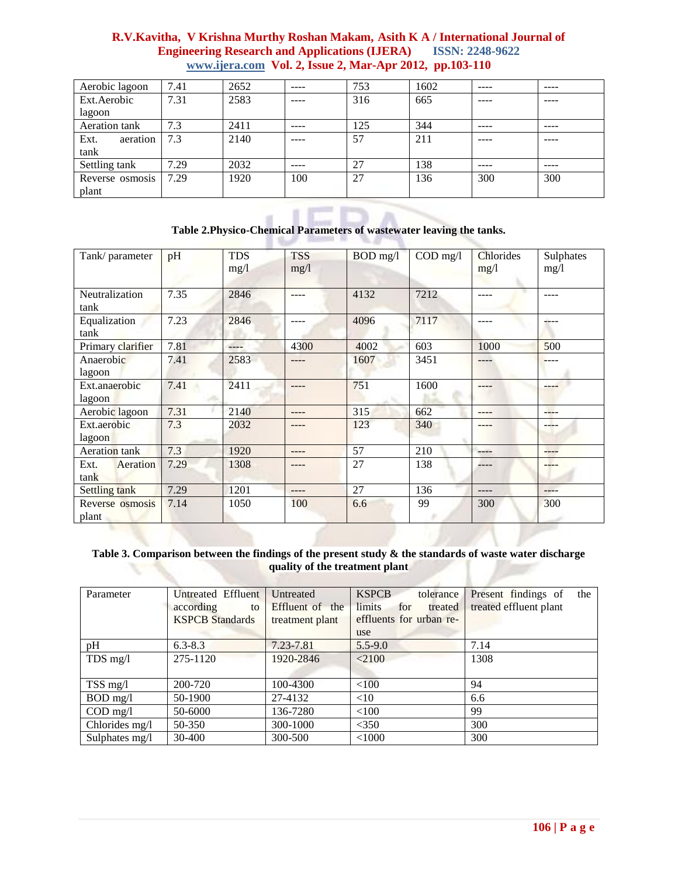| Aerobic lagoon   | 7.41 | 2652 | ---- | 753 | 1602 | ---- | ---- |
|------------------|------|------|------|-----|------|------|------|
| Ext.Aerobic      | 7.31 | 2583 |      | 316 | 665  |      |      |
| lagoon           |      |      |      |     |      |      |      |
| Aeration tank    | 7.3  | 2411 |      | 125 | 344  | ---- |      |
| Ext.<br>aeration | 7.3  | 2140 |      | 57  | 211  |      |      |
| tank             |      |      |      |     |      |      |      |
| Settling tank    | 7.29 | 2032 |      | 27  | 138  | ---- | ---- |
| Reverse osmosis  | 7.29 | 1920 | 100  | 27  | 136  | 300  | 300  |
| plant            |      |      |      |     |      |      |      |

**Table 2.Physico-Chemical Parameters of wastewater leaving the tanks.**

| Tank/parameter           | pH   | <b>TDS</b><br>mg/1   | <b>TSS</b><br>mg/1 | BOD mg/l | $\overline{COD}$ mg/l | Chlorides<br>mg/1 | Sulphates<br>mg/1 |
|--------------------------|------|----------------------|--------------------|----------|-----------------------|-------------------|-------------------|
| Neutralization<br>tank   | 7.35 | 2846                 | ----               | 4132     | 7212                  | ----              | $---$             |
| Equalization<br>tank     | 7.23 | 7117<br>2846<br>4096 |                    |          |                       | ----              |                   |
| Primary clarifier        | 7.81 | $- - - -$            | 4300               | 4002     | 603                   | 1000              | 500               |
| Anaerobic<br>lagoon      | 7.41 | 2583                 |                    | 1607     | 3451                  | ----              |                   |
| Ext.anaerobic<br>lagoon  | 7.41 | 2411                 |                    | 751      | 1600                  |                   | ----              |
| Aerobic lagoon           | 7.31 | 2140                 |                    | 315      | 662                   | ----              | ----              |
| Ext.aerobic<br>lagoon    | 7.3  | 2032                 |                    | 123      | 340                   |                   | -----             |
| Aeration tank            | 7.3  | 1920                 |                    | 57       | 210                   | ----              | ----              |
| Ext.<br>Aeration<br>tank | 7.29 | 1308                 |                    | 27       | 138                   |                   |                   |
| Settling tank            | 7.29 | 1201                 | ----               | 27       | 136                   | ----              | $---$             |
| Reverse osmosis<br>plant | 7.14 | 1050                 | 100                | 6.6      | 99                    | 300               | 300               |

#### **Table 3. Comparison between the findings of the present study & the standards of waste water discharge quality of the treatment plant**

| Parameter      | Untreated Effluent     | Untreated       | <b>KSPCB</b><br>tolerance       | Present findings of<br>the |
|----------------|------------------------|-----------------|---------------------------------|----------------------------|
|                | according<br>to        | Effluent of the | <i>limits</i><br>for<br>treated | treated effluent plant     |
|                | <b>KSPCB Standards</b> | treatment plant | effluents for urban re-         |                            |
|                |                        |                 | use                             |                            |
| pH             | $6.3 - 8.3$            | 7.23-7.81       | $5.5 - 9.0$                     | 7.14                       |
| TDS $mg/l$     | 275-1120               | 1920-2846       | < 2100                          | 1308                       |
|                |                        |                 |                                 |                            |
| $TSS$ mg/l     | 200-720                | 100-4300        | < 100                           | 94                         |
| $BOD$ mg/l     | 50-1900                | 27-4132         | <10                             | 6.6                        |
| $COD$ mg/l     | 50-6000                | 136-7280        | < 100                           | 99                         |
| Chlorides mg/l | 50-350                 | 300-1000        | $<$ 350                         | 300                        |
| Sulphates mg/l | 30-400                 | 300-500         | < 1000                          | 300                        |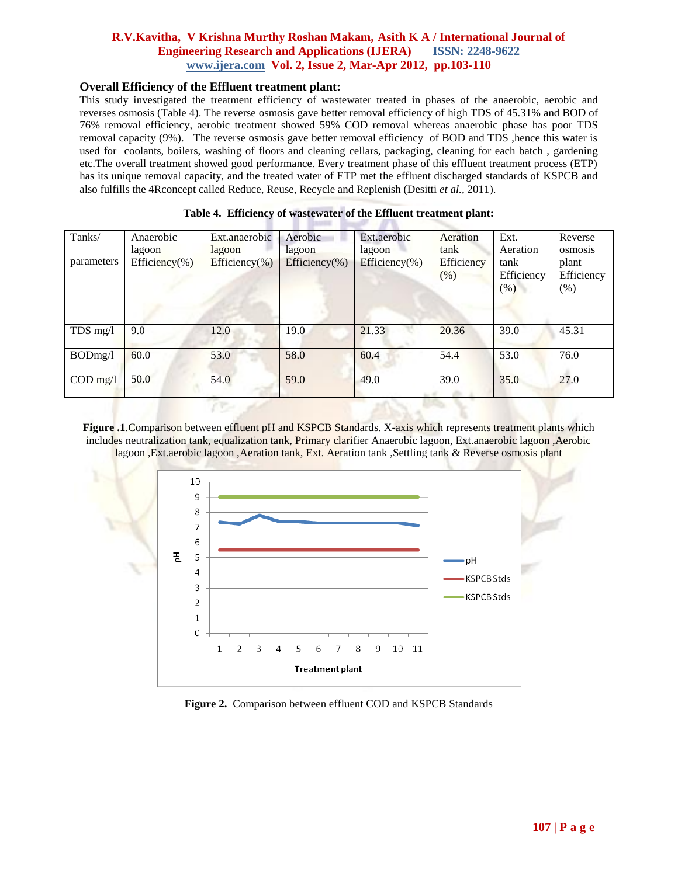#### **Overall Efficiency of the Effluent treatment plant:**

This study investigated the treatment efficiency of wastewater treated in phases of the anaerobic, aerobic and reverses osmosis (Table 4). The reverse osmosis gave better removal efficiency of high TDS of 45.31% and BOD of 76% removal efficiency, aerobic treatment showed 59% COD removal whereas anaerobic phase has poor TDS removal capacity (9%). The reverse osmosis gave better removal efficiency of BOD and TDS ,hence this water is used for coolants, boilers, washing of floors and cleaning cellars, packaging, cleaning for each batch , gardening etc.The overall treatment showed good performance. Every treatment phase of this effluent treatment process (ETP) has its unique removal capacity, and the treated water of ETP met the effluent discharged standards of KSPCB and also fulfills the 4Rconcept called Reduce, Reuse, Recycle and Replenish (Desitti *et al.,* 2011).

| Tanks/<br>parameters | Anaerobic<br>lagoon<br>Efficiency(%) | Ext.anaerobic<br>lagoon<br>Efficiency(%) | Aerobic<br>lagoon<br>Efficiency(%) | Ext.aerobic<br>lagoon<br>Efficiency(%) | Aeration<br>tank<br>Efficiency<br>(% ) | Ext.<br>Aeration<br>tank<br>Efficiency<br>(% ) | Reverse<br>osmosis<br>plant<br>Efficiency<br>(%) |
|----------------------|--------------------------------------|------------------------------------------|------------------------------------|----------------------------------------|----------------------------------------|------------------------------------------------|--------------------------------------------------|
| TDS mg/l             | 9.0                                  | 12.0                                     | 19.0                               | 21.33                                  | 20.36                                  | 39.0                                           | 45.31                                            |
| BODmg/l              | 60.0                                 | 53.0                                     | 58.0                               | 60.4                                   | 54.4                                   | 53.0                                           | 76.0                                             |
| $COD$ mg/l           | 50.0                                 | 54.0                                     | 59.0                               | 49.0                                   | 39.0                                   | 35.0                                           | 27.0                                             |

|  | Table 4. Efficiency of wastewater of the Effluent treatment plant: |  |  |  |
|--|--------------------------------------------------------------------|--|--|--|
|  |                                                                    |  |  |  |

**Figure .1**.Comparison between effluent pH and KSPCB Standards. X-axis which represents treatment plants which includes neutralization tank, equalization tank, Primary clarifier Anaerobic lagoon, Ext.anaerobic lagoon ,Aerobic lagoon ,Ext.aerobic lagoon ,Aeration tank, Ext. Aeration tank ,Settling tank & Reverse osmosis plant



**Figure 2.** Comparison between effluent COD and KSPCB Standards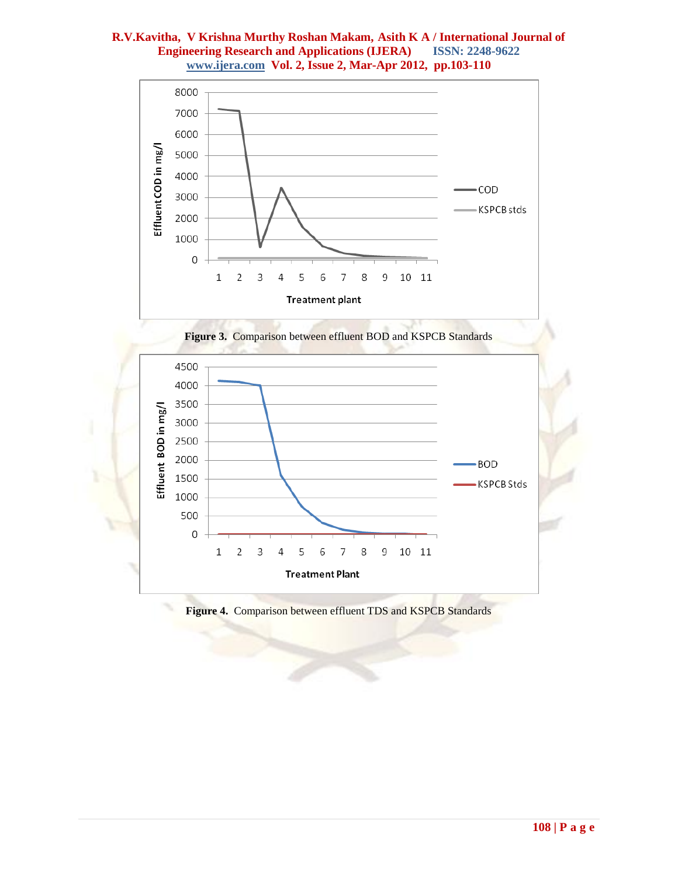





**Figure 4.** Comparison between effluent TDS and KSPCB Standards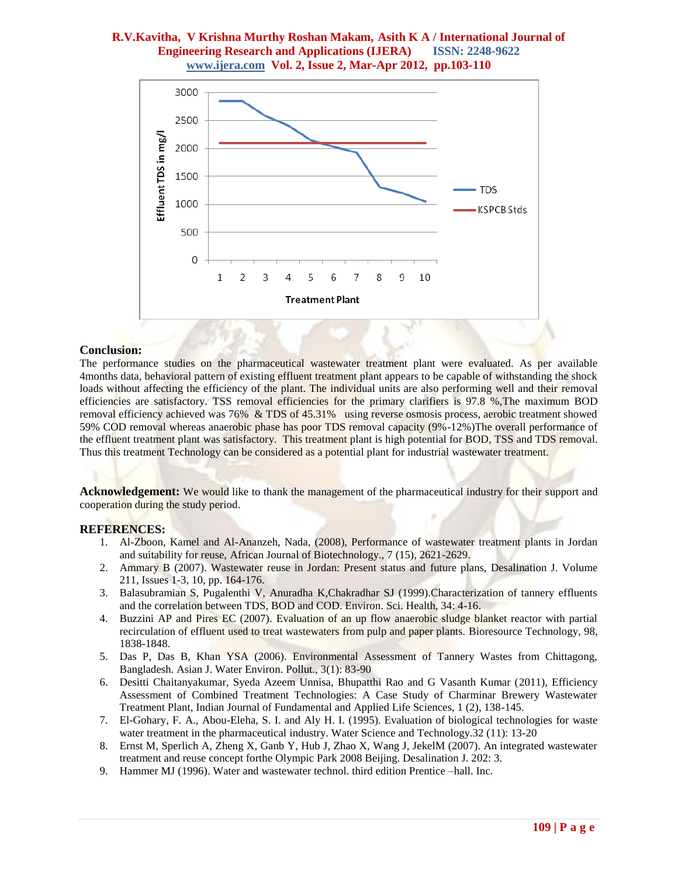

#### **Conclusion:**

The performance studies on the pharmaceutical wastewater treatment plant were evaluated. As per available 4months data, behavioral pattern of existing effluent treatment plant appears to be capable of withstanding the shock loads without affecting the efficiency of the plant. The individual units are also performing well and their removal efficiencies are satisfactory. TSS removal efficiencies for the primary clarifiers is 97.8 %,The maximum BOD removal efficiency achieved was 76% & TDS of 45.31% using reverse osmosis process, aerobic treatment showed 59% COD removal whereas anaerobic phase has poor TDS removal capacity (9%-12%)The overall performance of the effluent treatment plant was satisfactory. This treatment plant is high potential for BOD, TSS and TDS removal. Thus this treatment Technology can be considered as a potential plant for industrial wastewater treatment.

**Acknowledgement:** We would like to thank the management of the pharmaceutical industry for their support and cooperation during the study period.

#### **REFERENCES:**

- 1. Al-Zboon, Kamel and Al-Ananzeh, Nada, (2008), Performance of wastewater treatment plants in Jordan and suitability for reuse, African Journal of Biotechnology., 7 (15), 2621-2629.
- 2. Ammary B (2007). Wastewater reuse in Jordan: Present status and future plans, Desalination J. Volume 211, Issues 1-3, 10, pp. 164-176.
- 3. Balasubramian S, Pugalenthi V, Anuradha K,Chakradhar SJ (1999).Characterization of tannery effluents and the correlation between TDS, BOD and COD. Environ. Sci. Health, 34: 4-16.
- 4. Buzzini AP and Pires EC (2007). Evaluation of an up flow anaerobic sludge blanket reactor with partial recirculation of effluent used to treat wastewaters from pulp and paper plants. Bioresource Technology, 98, 1838-1848.
- 5. Das P, Das B, Khan YSA (2006). Environmental Assessment of Tannery Wastes from Chittagong, Bangladesh. Asian J. Water Environ. Pollut., 3(1): 83-90
- 6. Desitti Chaitanyakumar, Syeda Azeem Unnisa, Bhupatthi Rao and G Vasanth Kumar (2011), Efficiency Assessment of Combined Treatment Technologies: A Case Study of Charminar Brewery Wastewater Treatment Plant, Indian Journal of Fundamental and Applied Life Sciences, 1 (2), 138-145.
- 7. El-Gohary, F. A., Abou-Eleha, S. I. and Aly H. I. (1995). Evaluation of biological technologies for waste water treatment in the pharmaceutical industry. Water Science and Technology.32 (11): 13-20
- 8. Ernst M, Sperlich A, Zheng X, Ganb Y, Hub J, Zhao X, Wang J, JekelM (2007). An integrated wastewater treatment and reuse concept forthe Olympic Park 2008 Beijing. Desalination J. 202: 3.
- 9. Hammer MJ (1996). Water and wastewater technol. third edition Prentice –hall. Inc.